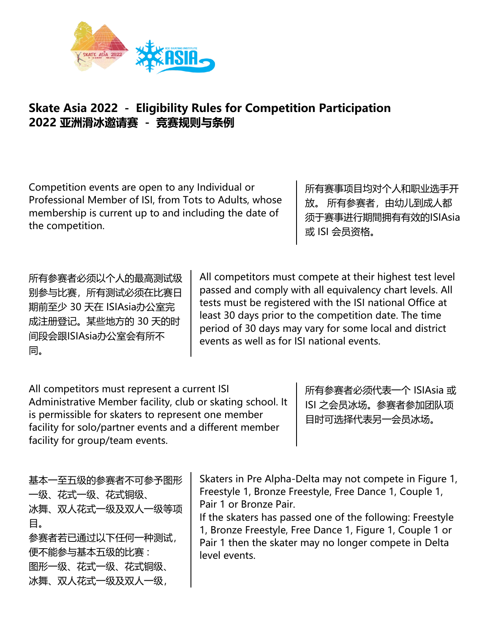

## **Skate Asia 2022 - Eligibility Rules for Competition Participation 2022 亚洲滑冰邀请赛 - 竞赛规则与条例**

Competition events are open to any Individual or Professional Member of ISI, from Tots to Adults, whose membership is current up to and including the date of the competition.

所有赛事项目均对个人和职业选手开 放。所有参赛者,由幼儿到成人都 须于赛事进行期間拥有有效的ISIAsia 或 ISI 会员资格。

所有参赛者必须以个人的最高测试级 别参与比赛,所有测试必须在比赛日 期前至少 30 天在 ISIAsia办公室完 成注册登记。某些地方的 30 天的时 间段会跟ISIAsia办公室会有所不 同。

All competitors must compete at their highest test level passed and comply with all equivalency chart levels. All tests must be registered with the ISI national Office at least 30 days prior to the competition date. The time period of 30 days may vary for some local and district events as well as for ISI national events.

All competitors must represent a current ISI Administrative Member facility, club or skating school. It is permissible for skaters to represent one member facility for solo/partner events and a different member facility for group/team events.

所有参赛者必须代表一个 ISIAsia 或 ISI 之会员冰场。参赛者参加团队项 目时可选择代表另一会员冰场。

基本一至五级的参赛者不可参予图形 一级、花式一级、花式铜级、 冰舞、双人花式一级及双人一级等项 目。 参赛者若已通过以下任何一种测试, 便不能参与基本五级的比赛 : 图形一级、花式一级、花式铜级、 冰舞、双人花式一级及双人一级,

Skaters in Pre Alpha-Delta may not compete in Figure 1, Freestyle 1, Bronze Freestyle, Free Dance 1, Couple 1, Pair 1 or Bronze Pair.

If the skaters has passed one of the following: Freestyle 1, Bronze Freestyle, Free Dance 1, Figure 1, Couple 1 or Pair 1 then the skater may no longer compete in Delta level events.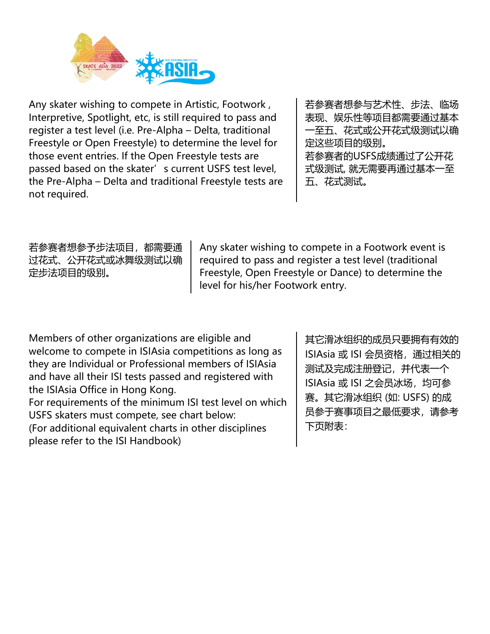

Any skater wishing to compete in Artistic, Footwork , Interpretive, Spotlight, etc, is still required to pass and register a test level (i.e. Pre-Alpha – Delta, traditional Freestyle or Open Freestyle) to determine the level for those event entries. If the Open Freestyle tests are passed based on the skater's current USFS test level, the Pre-Alpha – Delta and traditional Freestyle tests are not required.

若参赛者想参与艺术性、步法、临场 表现、娱乐性等项目都需要通过基本 一至五、花式或公开花式级测试以确 定这些项目的级别。 若参赛者的USFS成绩通过了公开花 式级测试, 就无需要再通过基本一至 五、花式测试。

若参赛者想参予步法项目,都需要通 过花式、公开花式或冰舞级测试以确 定步法项目的级别。

Any skater wishing to compete in a Footwork event is required to pass and register a test level (traditional Freestyle, Open Freestyle or Dance) to determine the level for his/her Footwork entry.

Members of other organizations are eligible and welcome to compete in ISIAsia competitions as long as they are Individual or Professional members of ISIAsia and have all their ISI tests passed and registered with the ISIAsia Office in Hong Kong. For requirements of the minimum ISI test level on which USFS skaters must compete, see chart below:

(For additional equivalent charts in other disciplines please refer to the ISI Handbook)

其它滑冰组织的成员只要拥有有效的 ISIAsia 或 ISI 会员资格, 通过相关的 测试及完成注册登记,并代表一个 ISIAsia 或 ISI 之会员冰场, 均可参 赛。其它滑冰组织 (如: USFS) 的成 员参于赛事项目之最低要求,请参考 下页附表: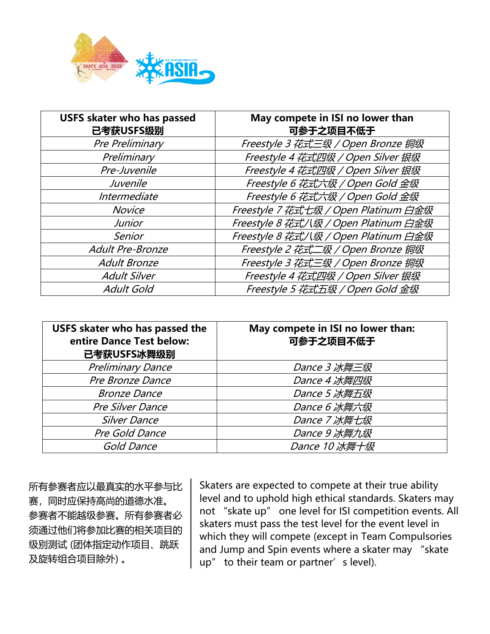

| <b>USFS skater who has passed</b><br>已考获USFS级别 | May compete in ISI no lower than<br>可参于之项目不低于 |
|------------------------------------------------|-----------------------------------------------|
| Pre Preliminary                                | Freestyle 3 花式三级 / Open Bronze 铜级             |
| Preliminary                                    | Freestyle 4 花式四级 / Open Silver 银级             |
| Pre-Juvenile                                   | Freestyle 4 花式四级 / Open Silver 银级             |
| Juvenile                                       | Freestyle 6 花式六级 / Open Gold 金级               |
| Intermediate                                   | Freestyle 6 花式六级 / Open Gold 金级               |
| <b>Novice</b>                                  | Freestyle 7 花式七级 / Open Platinum 白金级          |
| <b>Junior</b>                                  | Freestyle 8 花式八级 / Open Platinum 白金级          |
| Senior                                         | Freestyle 8 花式八级 / Open Platinum 白金级          |
| Adult Pre-Bronze                               | Freestyle 2 花式二级 / Open Bronze 铜级             |
| <b>Adult Bronze</b>                            | Freestyle 3 花式三级 / Open Bronze 铜级             |
| <b>Adult Silver</b>                            | Freestyle 4 花式四级 / Open Silver 银级             |
| <b>Adult Gold</b>                              | Freestyle 5 花式五级 / Open Gold 金级               |

| <b>USFS skater who has passed the</b><br>entire Dance Test below:<br>已考获USFS冰舞级别 | May compete in ISI no lower than:<br>可参于之项目不低于 |
|----------------------------------------------------------------------------------|------------------------------------------------|
| <b>Preliminary Dance</b>                                                         | Dance 3 冰舞三级                                   |
| Pre Bronze Dance                                                                 | Dance 4 冰舞四级                                   |
| <b>Bronze Dance</b>                                                              | Dance 5 冰舞五级                                   |
| Pre Silver Dance                                                                 | Dance 6 冰舞六级                                   |
| <b>Silver Dance</b>                                                              | Dance 7 冰舞七级                                   |
| Pre Gold Dance                                                                   | Dance 9 冰舞九级                                   |
| Gold Dance                                                                       | Dance 10 冰舞十级                                  |

所有参赛者应以最真实的水平参与比 赛,同时应保持高尚的道德水准。 参赛者不能越级参赛。所有参赛者必 须通过他们将参加比赛的相关项目的 级别测试 (团体指定动作项目、跳跃 及旋转组合项目除外) 。

Skaters are expected to compete at their true ability level and to uphold high ethical standards. Skaters may not "skate up" one level for ISI competition events. All skaters must pass the test level for the event level in which they will compete (except in Team Compulsories and Jump and Spin events where a skater may "skate up" to their team or partner's level).